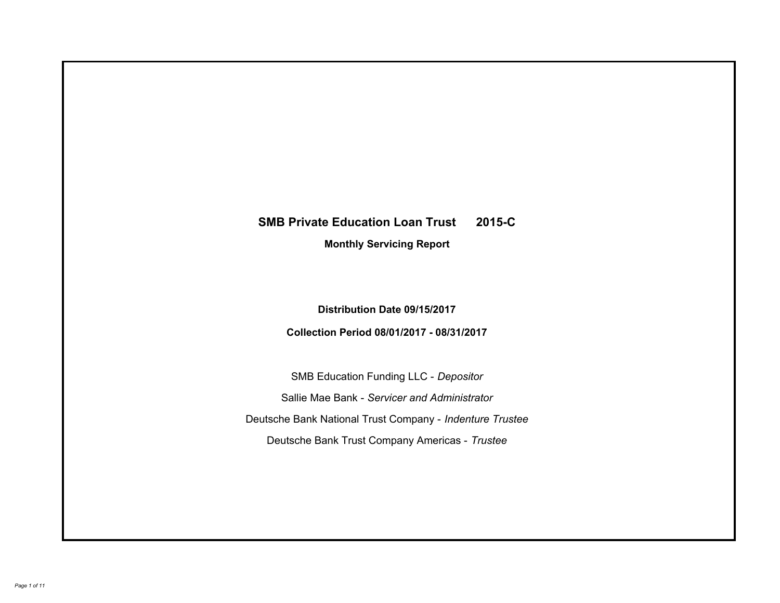# **SMB Private Education Loan Trust 2015-C Monthly Servicing Report**

**Distribution Date 09/15/2017**

**Collection Period 08/01/2017 - 08/31/2017**

SMB Education Funding LLC - *Depositor* Sallie Mae Bank - *Servicer and Administrator* Deutsche Bank National Trust Company - *Indenture Trustee* Deutsche Bank Trust Company Americas - *Trustee*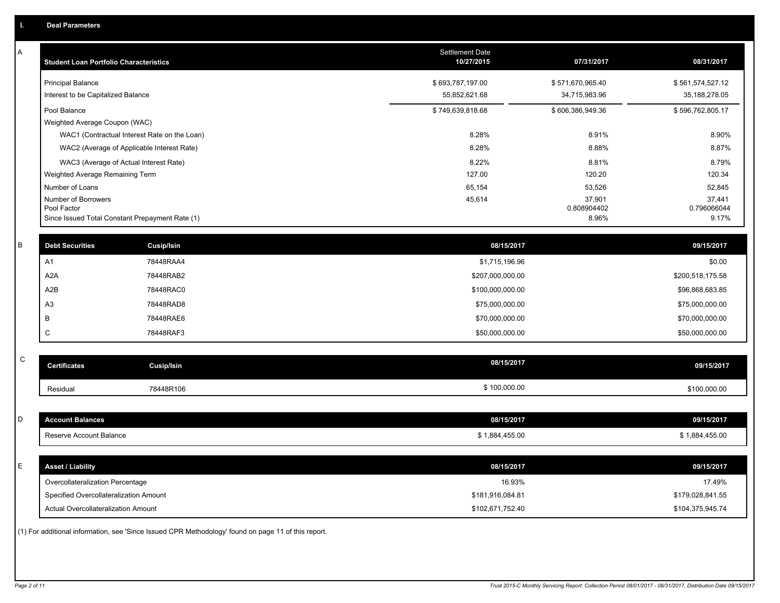| A           | <b>Student Loan Portfolio Characteristics</b> |                                                                                                     | Settlement Date<br>10/27/2015 | 07/31/2017           | 08/31/2017           |
|-------------|-----------------------------------------------|-----------------------------------------------------------------------------------------------------|-------------------------------|----------------------|----------------------|
|             | <b>Principal Balance</b>                      |                                                                                                     | \$693,787,197.00              | \$571,670,965.40     | \$561,574,527.12     |
|             | Interest to be Capitalized Balance            |                                                                                                     | 55,852,621.68                 | 34,715,983.96        | 35, 188, 278.05      |
|             | Pool Balance                                  |                                                                                                     | \$749,639,818.68              | \$606,386,949.36     | \$596,762,805.17     |
|             | Weighted Average Coupon (WAC)                 |                                                                                                     |                               |                      |                      |
|             |                                               | WAC1 (Contractual Interest Rate on the Loan)                                                        | 8.28%                         | 8.91%                | 8.90%                |
|             |                                               | WAC2 (Average of Applicable Interest Rate)                                                          | 8.28%                         | 8.88%                | 8.87%                |
|             |                                               | WAC3 (Average of Actual Interest Rate)                                                              | 8.22%                         | 8.81%                | 8.79%                |
|             | Weighted Average Remaining Term               |                                                                                                     | 127.00                        | 120.20               | 120.34               |
|             | Number of Loans                               |                                                                                                     | 65,154                        | 53,526               | 52,845               |
|             | Number of Borrowers                           |                                                                                                     | 45,614                        | 37,901               | 37,441               |
|             | Pool Factor                                   | Since Issued Total Constant Prepayment Rate (1)                                                     |                               | 0.808904402<br>8.96% | 0.796066044<br>9.17% |
|             |                                               |                                                                                                     |                               |                      |                      |
| B           | <b>Debt Securities</b>                        | Cusip/Isin                                                                                          | 08/15/2017                    |                      | 09/15/2017           |
|             | A1                                            | 78448RAA4                                                                                           | \$1,715,196.96                |                      | \$0.00               |
|             | A2A                                           | 78448RAB2                                                                                           | \$207,000,000.00              |                      | \$200,518,175.58     |
|             | A2B                                           | 78448RAC0                                                                                           | \$100,000,000.00              |                      | \$96,868,683.85      |
|             | A <sub>3</sub>                                | 78448RAD8                                                                                           | \$75,000,000.00               |                      | \$75,000,000.00      |
|             | B                                             | 78448RAE6                                                                                           | \$70,000,000.00               |                      | \$70,000,000.00      |
|             | $\mathsf C$                                   | 78448RAF3                                                                                           | \$50,000,000.00               |                      | \$50,000,000.00      |
|             |                                               |                                                                                                     |                               |                      |                      |
| $\mathsf C$ | <b>Certificates</b>                           | Cusip/Isin                                                                                          | 08/15/2017                    |                      | 09/15/2017           |
|             | Residual                                      | 78448R106                                                                                           | \$100,000.00                  |                      | \$100,000.00         |
|             |                                               |                                                                                                     |                               |                      |                      |
| D           | <b>Account Balances</b>                       |                                                                                                     | 08/15/2017                    |                      | 09/15/2017           |
|             | Reserve Account Balance                       |                                                                                                     | \$1,884,455.00                |                      | \$1,884,455.00       |
|             |                                               |                                                                                                     |                               |                      |                      |
| E           | <b>Asset / Liability</b>                      |                                                                                                     | 08/15/2017                    |                      | 09/15/2017           |
|             | Overcollateralization Percentage              |                                                                                                     | 16.93%                        |                      | 17.49%               |
|             | Specified Overcollateralization Amount        |                                                                                                     | \$181,916,084.81              |                      | \$179,028,841.55     |
|             | Actual Overcollateralization Amount           |                                                                                                     | \$102,671,752.40              |                      | \$104,375,945.74     |
|             |                                               | (1) For additional information, see 'Since Issued CPR Methodology' found on page 11 of this report. |                               |                      |                      |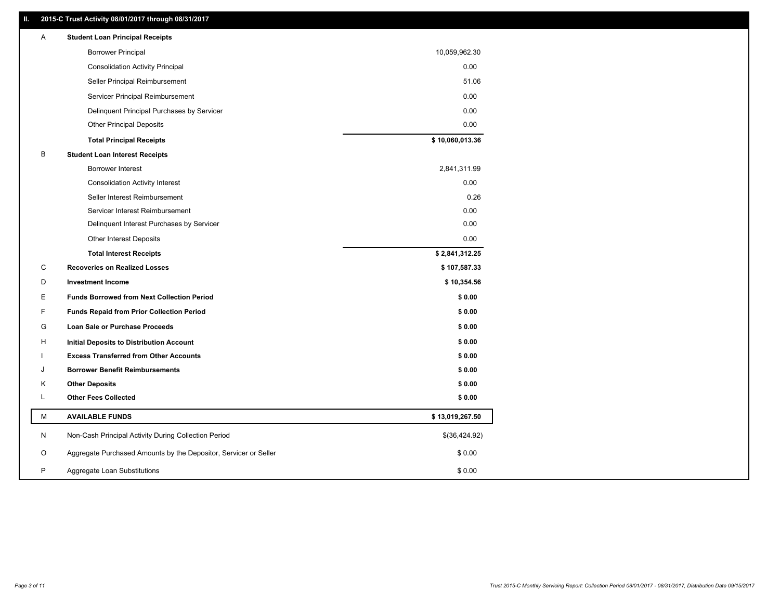# **II. 2015-C Trust Activity 08/01/2017 through 08/31/2017**

| A | <b>Student Loan Principal Receipts</b>                           |                 |
|---|------------------------------------------------------------------|-----------------|
|   | <b>Borrower Principal</b>                                        | 10,059,962.30   |
|   | <b>Consolidation Activity Principal</b>                          | 0.00            |
|   | Seller Principal Reimbursement                                   | 51.06           |
|   | Servicer Principal Reimbursement                                 | 0.00            |
|   | Delinquent Principal Purchases by Servicer                       | 0.00            |
|   | <b>Other Principal Deposits</b>                                  | 0.00            |
|   | <b>Total Principal Receipts</b>                                  | \$10,060,013.36 |
| B | <b>Student Loan Interest Receipts</b>                            |                 |
|   | <b>Borrower Interest</b>                                         | 2,841,311.99    |
|   | <b>Consolidation Activity Interest</b>                           | 0.00            |
|   | Seller Interest Reimbursement                                    | 0.26            |
|   | Servicer Interest Reimbursement                                  | 0.00            |
|   | Delinquent Interest Purchases by Servicer                        | 0.00            |
|   | Other Interest Deposits                                          | 0.00            |
|   | <b>Total Interest Receipts</b>                                   | \$2,841,312.25  |
| С | <b>Recoveries on Realized Losses</b>                             | \$107,587.33    |
| D | <b>Investment Income</b>                                         | \$10,354.56     |
| Е | <b>Funds Borrowed from Next Collection Period</b>                | \$0.00          |
| F | <b>Funds Repaid from Prior Collection Period</b>                 | \$0.00          |
| G | Loan Sale or Purchase Proceeds                                   | \$0.00          |
| н | Initial Deposits to Distribution Account                         | \$0.00          |
|   | <b>Excess Transferred from Other Accounts</b>                    | \$0.00          |
| J | <b>Borrower Benefit Reimbursements</b>                           | \$0.00          |
| Κ | <b>Other Deposits</b>                                            | \$0.00          |
| L | <b>Other Fees Collected</b>                                      | \$0.00          |
| М | <b>AVAILABLE FUNDS</b>                                           | \$13,019,267.50 |
| N | Non-Cash Principal Activity During Collection Period             | \$(36,424.92)   |
| O | Aggregate Purchased Amounts by the Depositor, Servicer or Seller | \$0.00          |
| P | Aggregate Loan Substitutions                                     | \$0.00          |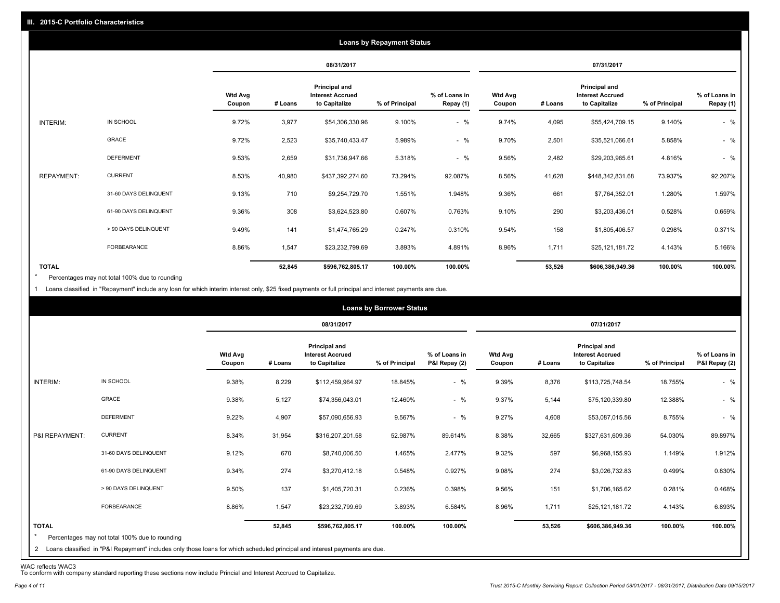|                   |                       |                          |         |                                                           | <b>Loans by Repayment Status</b> |                            |                          |         |                                                                  |                |                            |
|-------------------|-----------------------|--------------------------|---------|-----------------------------------------------------------|----------------------------------|----------------------------|--------------------------|---------|------------------------------------------------------------------|----------------|----------------------------|
|                   |                       |                          |         | 08/31/2017                                                |                                  |                            |                          |         | 07/31/2017                                                       |                |                            |
|                   |                       | <b>Wtd Avg</b><br>Coupon | # Loans | Principal and<br><b>Interest Accrued</b><br>to Capitalize | % of Principal                   | % of Loans in<br>Repay (1) | <b>Wtd Avg</b><br>Coupon | # Loans | <b>Principal and</b><br><b>Interest Accrued</b><br>to Capitalize | % of Principal | % of Loans in<br>Repay (1) |
| INTERIM:          | IN SCHOOL             | 9.72%                    | 3,977   | \$54,306,330.96                                           | 9.100%                           | $-$ %                      | 9.74%                    | 4,095   | \$55,424,709.15                                                  | 9.140%         | $-$ %                      |
|                   | GRACE                 | 9.72%                    | 2,523   | \$35,740,433.47                                           | 5.989%                           | $-$ %                      | 9.70%                    | 2,501   | \$35,521,066.61                                                  | 5.858%         | $-$ %                      |
|                   | <b>DEFERMENT</b>      | 9.53%                    | 2,659   | \$31,736,947.66                                           | 5.318%                           | $-$ %                      | 9.56%                    | 2,482   | \$29,203,965.61                                                  | 4.816%         | $-$ %                      |
| <b>REPAYMENT:</b> | <b>CURRENT</b>        | 8.53%                    | 40,980  | \$437,392,274.60                                          | 73.294%                          | 92.087%                    | 8.56%                    | 41,628  | \$448,342,831.68                                                 | 73.937%        | 92.207%                    |
|                   | 31-60 DAYS DELINQUENT | 9.13%                    | 710     | \$9,254,729.70                                            | 1.551%                           | 1.948%                     | 9.36%                    | 661     | \$7,764,352.01                                                   | 1.280%         | 1.597%                     |
|                   | 61-90 DAYS DELINQUENT | 9.36%                    | 308     | \$3,624,523.80                                            | 0.607%                           | 0.763%                     | 9.10%                    | 290     | \$3,203,436.01                                                   | 0.528%         | 0.659%                     |
|                   | > 90 DAYS DELINQUENT  | 9.49%                    | 141     | \$1,474,765.29                                            | 0.247%                           | 0.310%                     | 9.54%                    | 158     | \$1,805,406.57                                                   | 0.298%         | 0.371%                     |
|                   | <b>FORBEARANCE</b>    | 8.86%                    | 1,547   | \$23,232,799.69                                           | 3.893%                           | 4.891%                     | 8.96%                    | 1,711   | \$25,121,181.72                                                  | 4.143%         | 5.166%                     |
| <b>TOTAL</b>      |                       |                          | 52,845  | \$596,762,805.17                                          | 100.00%                          | 100.00%                    |                          | 53,526  | \$606,386,949.36                                                 | 100.00%        | 100.00%                    |

Percentages may not total 100% due to rounding  $\star$ 

1 Loans classified in "Repayment" include any loan for which interim interest only, \$25 fixed payments or full principal and interest payments are due.

|                         |                                                                                                                                                                                |                          |         |                                                           | <b>Loans by Borrower Status</b> |                                |                          |         |                                                                  |                |                                |
|-------------------------|--------------------------------------------------------------------------------------------------------------------------------------------------------------------------------|--------------------------|---------|-----------------------------------------------------------|---------------------------------|--------------------------------|--------------------------|---------|------------------------------------------------------------------|----------------|--------------------------------|
|                         |                                                                                                                                                                                |                          |         | 08/31/2017                                                |                                 |                                |                          |         | 07/31/2017                                                       |                |                                |
|                         |                                                                                                                                                                                | <b>Wtd Avg</b><br>Coupon | # Loans | Principal and<br><b>Interest Accrued</b><br>to Capitalize | % of Principal                  | % of Loans in<br>P&I Repay (2) | <b>Wtd Avg</b><br>Coupon | # Loans | <b>Principal and</b><br><b>Interest Accrued</b><br>to Capitalize | % of Principal | % of Loans in<br>P&I Repay (2) |
| INTERIM:                | IN SCHOOL                                                                                                                                                                      | 9.38%                    | 8,229   | \$112,459,964.97                                          | 18.845%                         | $-$ %                          | 9.39%                    | 8,376   | \$113,725,748.54                                                 | 18.755%        | $-$ %                          |
|                         | GRACE                                                                                                                                                                          | 9.38%                    | 5,127   | \$74,356,043.01                                           | 12.460%                         | $-$ %                          | 9.37%                    | 5,144   | \$75,120,339.80                                                  | 12.388%        | $-$ %                          |
|                         | <b>DEFERMENT</b>                                                                                                                                                               | 9.22%                    | 4,907   | \$57,090,656.93                                           | 9.567%                          | $-$ %                          | 9.27%                    | 4,608   | \$53,087,015.56                                                  | 8.755%         | $-$ %                          |
| P&I REPAYMENT:          | <b>CURRENT</b>                                                                                                                                                                 | 8.34%                    | 31,954  | \$316,207,201.58                                          | 52.987%                         | 89.614%                        | 8.38%                    | 32,665  | \$327,631,609.36                                                 | 54.030%        | 89.897%                        |
|                         | 31-60 DAYS DELINQUENT                                                                                                                                                          | 9.12%                    | 670     | \$8,740,006.50                                            | 1.465%                          | 2.477%                         | 9.32%                    | 597     | \$6,968,155.93                                                   | 1.149%         | 1.912%                         |
|                         | 61-90 DAYS DELINQUENT                                                                                                                                                          | 9.34%                    | 274     | \$3,270,412.18                                            | 0.548%                          | 0.927%                         | 9.08%                    | 274     | \$3,026,732.83                                                   | 0.499%         | 0.830%                         |
|                         | > 90 DAYS DELINQUENT                                                                                                                                                           | 9.50%                    | 137     | \$1,405,720.31                                            | 0.236%                          | 0.398%                         | 9.56%                    | 151     | \$1,706,165.62                                                   | 0.281%         | 0.468%                         |
|                         | <b>FORBEARANCE</b>                                                                                                                                                             | 8.86%                    | 1,547   | \$23,232,799.69                                           | 3.893%                          | 6.584%                         | 8.96%                    | 1,711   | \$25,121,181.72                                                  | 4.143%         | 6.893%                         |
| <b>TOTAL</b><br>$\star$ | Percentages may not total 100% due to rounding<br>2 Loans classified in "P&I Repayment" includes only those loans for which scheduled principal and interest payments are due. |                          | 52,845  | \$596,762,805.17                                          | 100.00%                         | 100.00%                        |                          | 53,526  | \$606,386,949.36                                                 | 100.00%        | 100.00%                        |

WAC reflects WAC3 To conform with company standard reporting these sections now include Princial and Interest Accrued to Capitalize.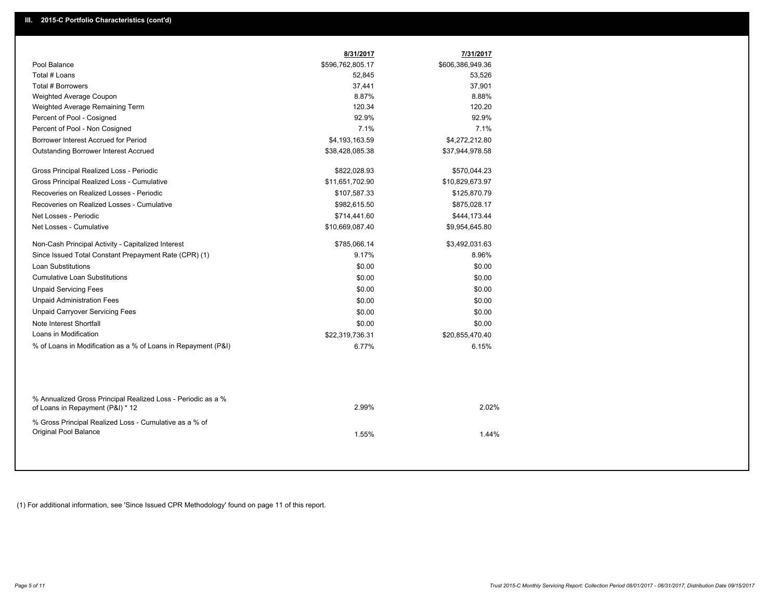|                                                                                                  | 8/31/2017        | 7/31/2017        |
|--------------------------------------------------------------------------------------------------|------------------|------------------|
| Pool Balance                                                                                     | \$596,762,805.17 | \$606,386,949.36 |
| Total # Loans                                                                                    | 52,845           | 53,526           |
| Total # Borrowers                                                                                | 37,441           | 37,901           |
| Weighted Average Coupon                                                                          | 8.87%            | 8.88%            |
| Weighted Average Remaining Term                                                                  | 120.34           | 120.20           |
| Percent of Pool - Cosigned                                                                       | 92.9%            | 92.9%            |
| Percent of Pool - Non Cosigned                                                                   | 7.1%             | 7.1%             |
| Borrower Interest Accrued for Period                                                             | \$4,193,163.59   | \$4,272,212.80   |
| <b>Outstanding Borrower Interest Accrued</b>                                                     | \$38,428,085.38  | \$37,944,978.58  |
| Gross Principal Realized Loss - Periodic                                                         | \$822,028.93     | \$570,044.23     |
| Gross Principal Realized Loss - Cumulative                                                       | \$11,651,702.90  | \$10,829,673.97  |
| Recoveries on Realized Losses - Periodic                                                         | \$107,587.33     | \$125,870.79     |
| Recoveries on Realized Losses - Cumulative                                                       | \$982,615.50     | \$875,028.17     |
| Net Losses - Periodic                                                                            | \$714,441.60     | \$444,173.44     |
| Net Losses - Cumulative                                                                          | \$10,669,087.40  | \$9,954,645.80   |
| Non-Cash Principal Activity - Capitalized Interest                                               | \$785,066.14     | \$3,492,031.63   |
| Since Issued Total Constant Prepayment Rate (CPR) (1)                                            | 9.17%            | 8.96%            |
| <b>Loan Substitutions</b>                                                                        | \$0.00           | \$0.00           |
| <b>Cumulative Loan Substitutions</b>                                                             | \$0.00           | \$0.00           |
| <b>Unpaid Servicing Fees</b>                                                                     | \$0.00           | \$0.00           |
| <b>Unpaid Administration Fees</b>                                                                | \$0.00           | \$0.00           |
| <b>Unpaid Carryover Servicing Fees</b>                                                           | \$0.00           | \$0.00           |
| Note Interest Shortfall                                                                          | \$0.00           | \$0.00           |
| Loans in Modification                                                                            | \$22,319,736.31  | \$20,855,470.40  |
| % of Loans in Modification as a % of Loans in Repayment (P&I)                                    | 6.77%            | 6.15%            |
|                                                                                                  |                  |                  |
| % Annualized Gross Principal Realized Loss - Periodic as a %<br>of Loans in Repayment (P&I) * 12 | 2.99%            | 2.02%            |
| % Gross Principal Realized Loss - Cumulative as a % of<br><b>Original Pool Balance</b>           | 1.55%            | 1.44%            |

(1) For additional information, see 'Since Issued CPR Methodology' found on page 11 of this report.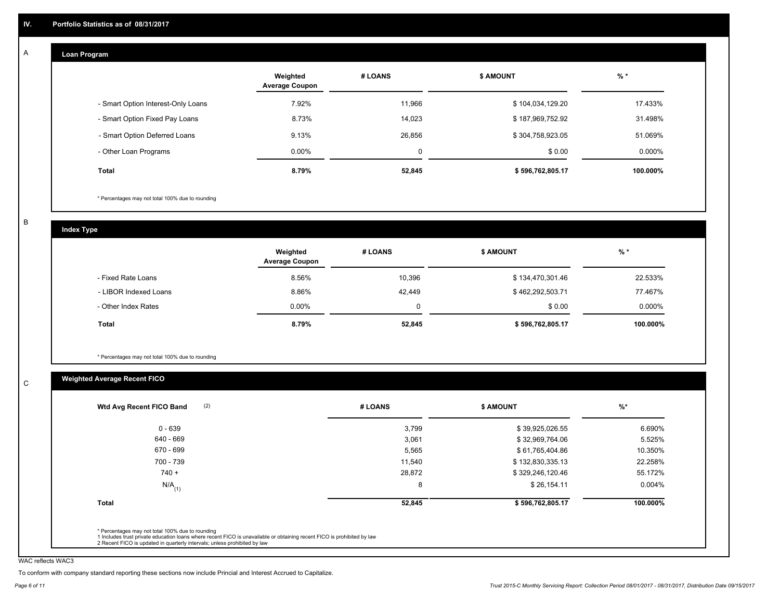#### **Loan Program**  A

|                                    | Weighted<br><b>Average Coupon</b> | # LOANS | <b>\$ AMOUNT</b> | $%$ *     |
|------------------------------------|-----------------------------------|---------|------------------|-----------|
| - Smart Option Interest-Only Loans | 7.92%                             | 11.966  | \$104,034,129.20 | 17.433%   |
| - Smart Option Fixed Pay Loans     | 8.73%                             | 14,023  | \$187,969,752.92 | 31.498%   |
| - Smart Option Deferred Loans      | 9.13%                             | 26,856  | \$304,758,923.05 | 51.069%   |
| - Other Loan Programs              | $0.00\%$                          | 0       | \$0.00           | $0.000\%$ |
| <b>Total</b>                       | 8.79%                             | 52,845  | \$596,762,805.17 | 100.000%  |

\* Percentages may not total 100% due to rounding

B

C

**Index Type**

|                       | Weighted<br><b>Average Coupon</b> | # LOANS | <b>\$ AMOUNT</b> | % *      |
|-----------------------|-----------------------------------|---------|------------------|----------|
| - Fixed Rate Loans    | 8.56%                             | 10,396  | \$134,470,301.46 | 22.533%  |
| - LIBOR Indexed Loans | 8.86%                             | 42.449  | \$462,292,503.71 | 77.467%  |
| - Other Index Rates   | $0.00\%$                          |         | \$0.00           | 0.000%   |
| Total                 | 8.79%                             | 52,845  | \$596,762,805.17 | 100.000% |

\* Percentages may not total 100% due to rounding

# **Weighted Average Recent FICO**

| 3,799<br>3,061 | \$39,925,026.55<br>\$32,969,764.06 | 6.690%<br>5.525% |
|----------------|------------------------------------|------------------|
|                |                                    |                  |
|                |                                    |                  |
| 5,565          | \$61,765,404.86                    | 10.350%          |
| 11,540         | \$132,830,335.13                   | 22.258%          |
| 28,872         | \$329,246,120.46                   | 55.172%          |
| 8              | \$26,154.11                        | 0.004%           |
| 52,845         | \$596,762,805.17                   | 100.000%         |
|                |                                    |                  |

WAC reflects WAC3

To conform with company standard reporting these sections now include Princial and Interest Accrued to Capitalize.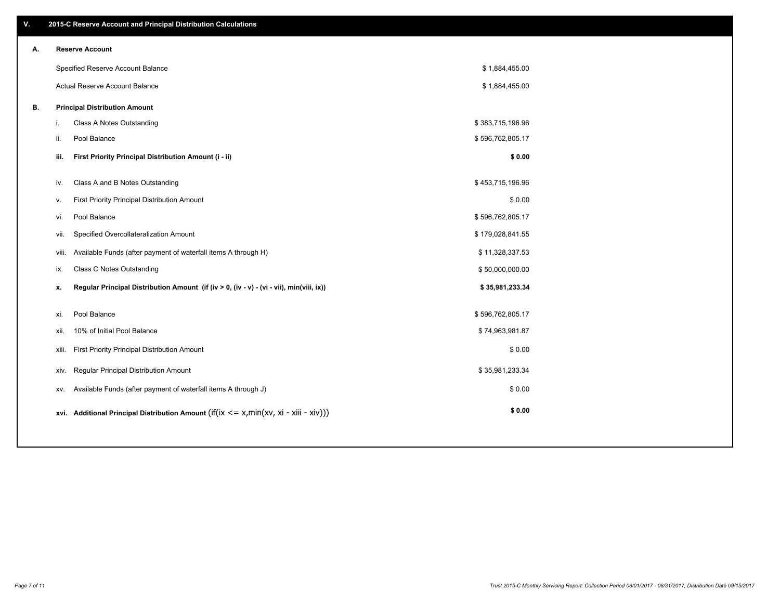| ۷. |       | 2015-C Reserve Account and Principal Distribution Calculations                                      |                  |  |
|----|-------|-----------------------------------------------------------------------------------------------------|------------------|--|
| А. |       | <b>Reserve Account</b>                                                                              |                  |  |
|    |       | Specified Reserve Account Balance                                                                   | \$1,884,455.00   |  |
|    |       | Actual Reserve Account Balance                                                                      | \$1,884,455.00   |  |
| В. |       | <b>Principal Distribution Amount</b>                                                                |                  |  |
|    | i.    | Class A Notes Outstanding                                                                           | \$383,715,196.96 |  |
|    | ii.   | Pool Balance                                                                                        | \$596,762,805.17 |  |
|    | iii.  | First Priority Principal Distribution Amount (i - ii)                                               | \$0.00           |  |
|    |       |                                                                                                     |                  |  |
|    | iv.   | Class A and B Notes Outstanding                                                                     | \$453,715,196.96 |  |
|    | v.    | First Priority Principal Distribution Amount                                                        | \$0.00           |  |
|    | vi.   | Pool Balance                                                                                        | \$596,762,805.17 |  |
|    | vii.  | Specified Overcollateralization Amount                                                              | \$179,028,841.55 |  |
|    | viii. | Available Funds (after payment of waterfall items A through H)                                      | \$11,328,337.53  |  |
|    | ix.   | <b>Class C Notes Outstanding</b>                                                                    | \$50,000,000.00  |  |
|    | х.    | Regular Principal Distribution Amount (if (iv > 0, (iv - v) - (vi - vii), min(viii, ix))            | \$35,981,233.34  |  |
|    |       |                                                                                                     |                  |  |
|    | xi.   | Pool Balance                                                                                        | \$596,762,805.17 |  |
|    | xii.  | 10% of Initial Pool Balance                                                                         | \$74,963,981.87  |  |
|    | xiii. | First Priority Principal Distribution Amount                                                        | \$0.00           |  |
|    | XIV.  | Regular Principal Distribution Amount                                                               | \$35,981,233.34  |  |
|    | XV.   | Available Funds (after payment of waterfall items A through J)                                      | \$0.00           |  |
|    |       | xvi. Additional Principal Distribution Amount (if( $ix \le x$ , min( $xv$ , $xi$ - $xiii - xiv$ ))) | \$0.00           |  |
|    |       |                                                                                                     |                  |  |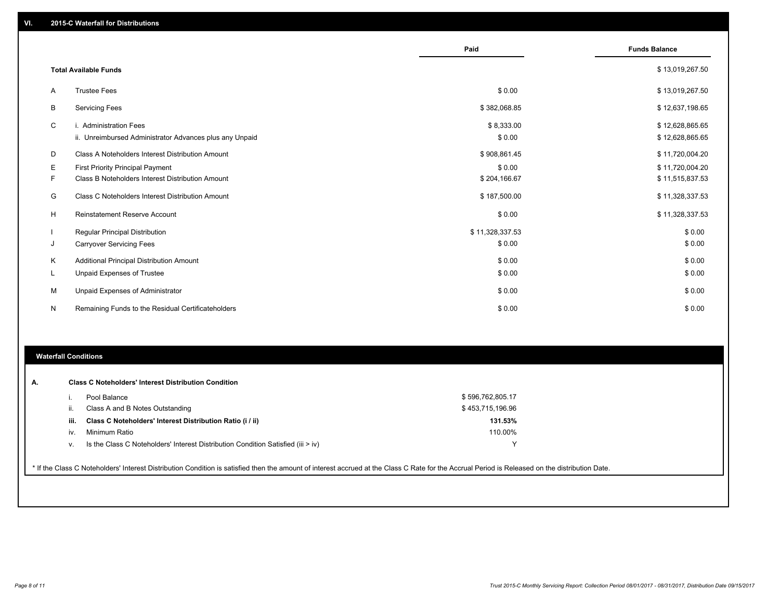|    |                                                         | Paid            | <b>Funds Balance</b> |
|----|---------------------------------------------------------|-----------------|----------------------|
|    |                                                         |                 |                      |
|    | <b>Total Available Funds</b>                            |                 | \$13,019,267.50      |
| A  | <b>Trustee Fees</b>                                     | \$0.00          | \$13,019,267.50      |
| B  | <b>Servicing Fees</b>                                   | \$382,068.85    | \$12,637,198.65      |
| C  | i. Administration Fees                                  | \$8,333.00      | \$12,628,865.65      |
|    | ii. Unreimbursed Administrator Advances plus any Unpaid | \$0.00          | \$12,628,865.65      |
| D  | Class A Noteholders Interest Distribution Amount        | \$908,861.45    | \$11,720,004.20      |
| Ε  | <b>First Priority Principal Payment</b>                 | \$0.00          | \$11,720,004.20      |
| F  | Class B Noteholders Interest Distribution Amount        | \$204,166.67    | \$11,515,837.53      |
| G  | Class C Noteholders Interest Distribution Amount        | \$187,500.00    | \$11,328,337.53      |
| H  | <b>Reinstatement Reserve Account</b>                    | \$0.00          | \$11,328,337.53      |
|    | <b>Regular Principal Distribution</b>                   | \$11,328,337.53 | \$0.00               |
| J  | <b>Carryover Servicing Fees</b>                         | \$0.00          | \$0.00               |
| К  | Additional Principal Distribution Amount                | \$0.00          | \$0.00               |
| L. | Unpaid Expenses of Trustee                              | \$0.00          | \$0.00               |
| М  | Unpaid Expenses of Administrator                        | \$0.00          | \$0.00               |
| N  | Remaining Funds to the Residual Certificateholders      | \$0.00          | \$0.00               |

### **Waterfall Conditions**

|      | Pool Balance                                                                       | \$596,762,805.17 |  |
|------|------------------------------------------------------------------------------------|------------------|--|
| н.   | Class A and B Notes Outstanding                                                    | \$453,715,196.96 |  |
| iii. | Class C Noteholders' Interest Distribution Ratio (i / ii)                          | 131.53%          |  |
| IV.  | Minimum Ratio                                                                      | 110.00%          |  |
| ν.   | Is the Class C Noteholders' Interest Distribution Condition Satisfied (iii $>$ iv) |                  |  |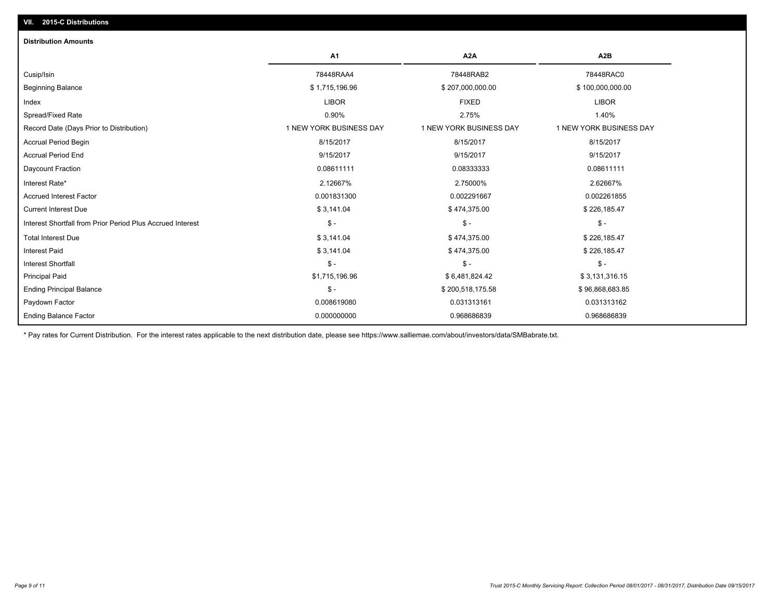| <b>Distribution Amounts</b>                                |                         |                         |                         |
|------------------------------------------------------------|-------------------------|-------------------------|-------------------------|
|                                                            | A1                      | A <sub>2</sub> A        | A <sub>2</sub> B        |
| Cusip/Isin                                                 | 78448RAA4               | 78448RAB2               | 78448RAC0               |
| <b>Beginning Balance</b>                                   | \$1,715,196.96          | \$207,000,000.00        | \$100,000,000.00        |
| Index                                                      | <b>LIBOR</b>            | <b>FIXED</b>            | <b>LIBOR</b>            |
| Spread/Fixed Rate                                          | 0.90%                   | 2.75%                   | 1.40%                   |
| Record Date (Days Prior to Distribution)                   | 1 NEW YORK BUSINESS DAY | 1 NEW YORK BUSINESS DAY | 1 NEW YORK BUSINESS DAY |
| <b>Accrual Period Begin</b>                                | 8/15/2017               | 8/15/2017               | 8/15/2017               |
| <b>Accrual Period End</b>                                  | 9/15/2017               | 9/15/2017               | 9/15/2017               |
| Daycount Fraction                                          | 0.08611111              | 0.08333333              | 0.08611111              |
| Interest Rate*                                             | 2.12667%                | 2.75000%                | 2.62667%                |
| <b>Accrued Interest Factor</b>                             | 0.001831300             | 0.002291667             | 0.002261855             |
| <b>Current Interest Due</b>                                | \$3,141.04              | \$474,375.00            | \$226,185.47            |
| Interest Shortfall from Prior Period Plus Accrued Interest | $\mathsf{\$}$ -         | $\mathsf{\$}$ -         | $\mathsf{\$}$ -         |
| <b>Total Interest Due</b>                                  | \$3,141.04              | \$474,375.00            | \$226,185.47            |
| <b>Interest Paid</b>                                       | \$3,141.04              | \$474,375.00            | \$226,185.47            |
| <b>Interest Shortfall</b>                                  | $\mathsf{\$}$ -         | $\mathsf{\$}$ -         | $$ -$                   |
| <b>Principal Paid</b>                                      | \$1,715,196.96          | \$6,481,824.42          | \$3,131,316.15          |
| <b>Ending Principal Balance</b>                            | $\mathsf{\$}$ -         | \$200,518,175.58        | \$96,868,683.85         |
| Paydown Factor                                             | 0.008619080             | 0.031313161             | 0.031313162             |
| <b>Ending Balance Factor</b>                               | 0.000000000             | 0.968686839             | 0.968686839             |

\* Pay rates for Current Distribution. For the interest rates applicable to the next distribution date, please see https://www.salliemae.com/about/investors/data/SMBabrate.txt.

**VII. 2015-C Distributions**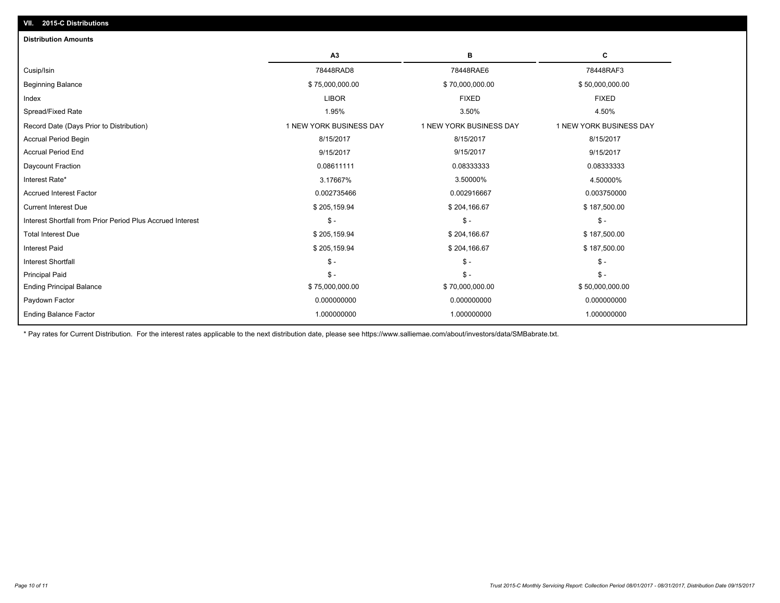| A <sub>3</sub><br>в<br>С<br>78448RAD8<br>78448RAE6<br>78448RAF3<br>\$50,000,000.00<br>\$75,000,000.00<br>\$70,000,000.00<br><b>LIBOR</b><br><b>FIXED</b><br><b>FIXED</b><br>3.50%<br>4.50%<br>1.95%<br>1 NEW YORK BUSINESS DAY<br>1 NEW YORK BUSINESS DAY<br>1 NEW YORK BUSINESS DAY<br>8/15/2017<br>8/15/2017<br>8/15/2017<br>9/15/2017<br>9/15/2017<br>9/15/2017<br>0.08611111<br>0.08333333<br>0.08333333<br>3.17667%<br>3.50000%<br>4.50000%<br>0.002735466<br>0.002916667<br>0.003750000<br>\$205,159.94<br>\$204,166.67<br>\$187,500.00<br>$\mathcal{S}$ -<br>Interest Shortfall from Prior Period Plus Accrued Interest<br>$\mathsf{\$}$ -<br>$$ -$<br><b>Total Interest Due</b><br>\$205,159.94<br>\$187,500.00<br>\$204,166.67<br><b>Interest Paid</b><br>\$205,159.94<br>\$204,166.67<br>\$187,500.00<br>$\mathsf{\$}$ -<br>$\mathsf{\$}$ -<br>$\mathsf{\$}$ - | <b>Distribution Amounts</b>              |  |  |
|--------------------------------------------------------------------------------------------------------------------------------------------------------------------------------------------------------------------------------------------------------------------------------------------------------------------------------------------------------------------------------------------------------------------------------------------------------------------------------------------------------------------------------------------------------------------------------------------------------------------------------------------------------------------------------------------------------------------------------------------------------------------------------------------------------------------------------------------------------------------------|------------------------------------------|--|--|
|                                                                                                                                                                                                                                                                                                                                                                                                                                                                                                                                                                                                                                                                                                                                                                                                                                                                          |                                          |  |  |
|                                                                                                                                                                                                                                                                                                                                                                                                                                                                                                                                                                                                                                                                                                                                                                                                                                                                          | Cusip/Isin                               |  |  |
|                                                                                                                                                                                                                                                                                                                                                                                                                                                                                                                                                                                                                                                                                                                                                                                                                                                                          | <b>Beginning Balance</b>                 |  |  |
|                                                                                                                                                                                                                                                                                                                                                                                                                                                                                                                                                                                                                                                                                                                                                                                                                                                                          | Index                                    |  |  |
|                                                                                                                                                                                                                                                                                                                                                                                                                                                                                                                                                                                                                                                                                                                                                                                                                                                                          | Spread/Fixed Rate                        |  |  |
|                                                                                                                                                                                                                                                                                                                                                                                                                                                                                                                                                                                                                                                                                                                                                                                                                                                                          | Record Date (Days Prior to Distribution) |  |  |
|                                                                                                                                                                                                                                                                                                                                                                                                                                                                                                                                                                                                                                                                                                                                                                                                                                                                          | <b>Accrual Period Begin</b>              |  |  |
|                                                                                                                                                                                                                                                                                                                                                                                                                                                                                                                                                                                                                                                                                                                                                                                                                                                                          | <b>Accrual Period End</b>                |  |  |
|                                                                                                                                                                                                                                                                                                                                                                                                                                                                                                                                                                                                                                                                                                                                                                                                                                                                          | Daycount Fraction                        |  |  |
|                                                                                                                                                                                                                                                                                                                                                                                                                                                                                                                                                                                                                                                                                                                                                                                                                                                                          | Interest Rate*                           |  |  |
|                                                                                                                                                                                                                                                                                                                                                                                                                                                                                                                                                                                                                                                                                                                                                                                                                                                                          | <b>Accrued Interest Factor</b>           |  |  |
|                                                                                                                                                                                                                                                                                                                                                                                                                                                                                                                                                                                                                                                                                                                                                                                                                                                                          | <b>Current Interest Due</b>              |  |  |
|                                                                                                                                                                                                                                                                                                                                                                                                                                                                                                                                                                                                                                                                                                                                                                                                                                                                          |                                          |  |  |
|                                                                                                                                                                                                                                                                                                                                                                                                                                                                                                                                                                                                                                                                                                                                                                                                                                                                          |                                          |  |  |
|                                                                                                                                                                                                                                                                                                                                                                                                                                                                                                                                                                                                                                                                                                                                                                                                                                                                          |                                          |  |  |
|                                                                                                                                                                                                                                                                                                                                                                                                                                                                                                                                                                                                                                                                                                                                                                                                                                                                          | <b>Interest Shortfall</b>                |  |  |
| $\mathsf{\$}$ -<br>$\mathsf{\$}$ -<br>$$ -$                                                                                                                                                                                                                                                                                                                                                                                                                                                                                                                                                                                                                                                                                                                                                                                                                              | <b>Principal Paid</b>                    |  |  |
| \$75,000,000.00<br>\$50,000,000.00<br>\$70,000,000.00                                                                                                                                                                                                                                                                                                                                                                                                                                                                                                                                                                                                                                                                                                                                                                                                                    | <b>Ending Principal Balance</b>          |  |  |
| 0.000000000<br>0.000000000<br>0.000000000                                                                                                                                                                                                                                                                                                                                                                                                                                                                                                                                                                                                                                                                                                                                                                                                                                | Paydown Factor                           |  |  |
| <b>Ending Balance Factor</b><br>1.000000000<br>1.000000000<br>1.000000000                                                                                                                                                                                                                                                                                                                                                                                                                                                                                                                                                                                                                                                                                                                                                                                                |                                          |  |  |

\* Pay rates for Current Distribution. For the interest rates applicable to the next distribution date, please see https://www.salliemae.com/about/investors/data/SMBabrate.txt.

**VII. 2015-C Distributions**